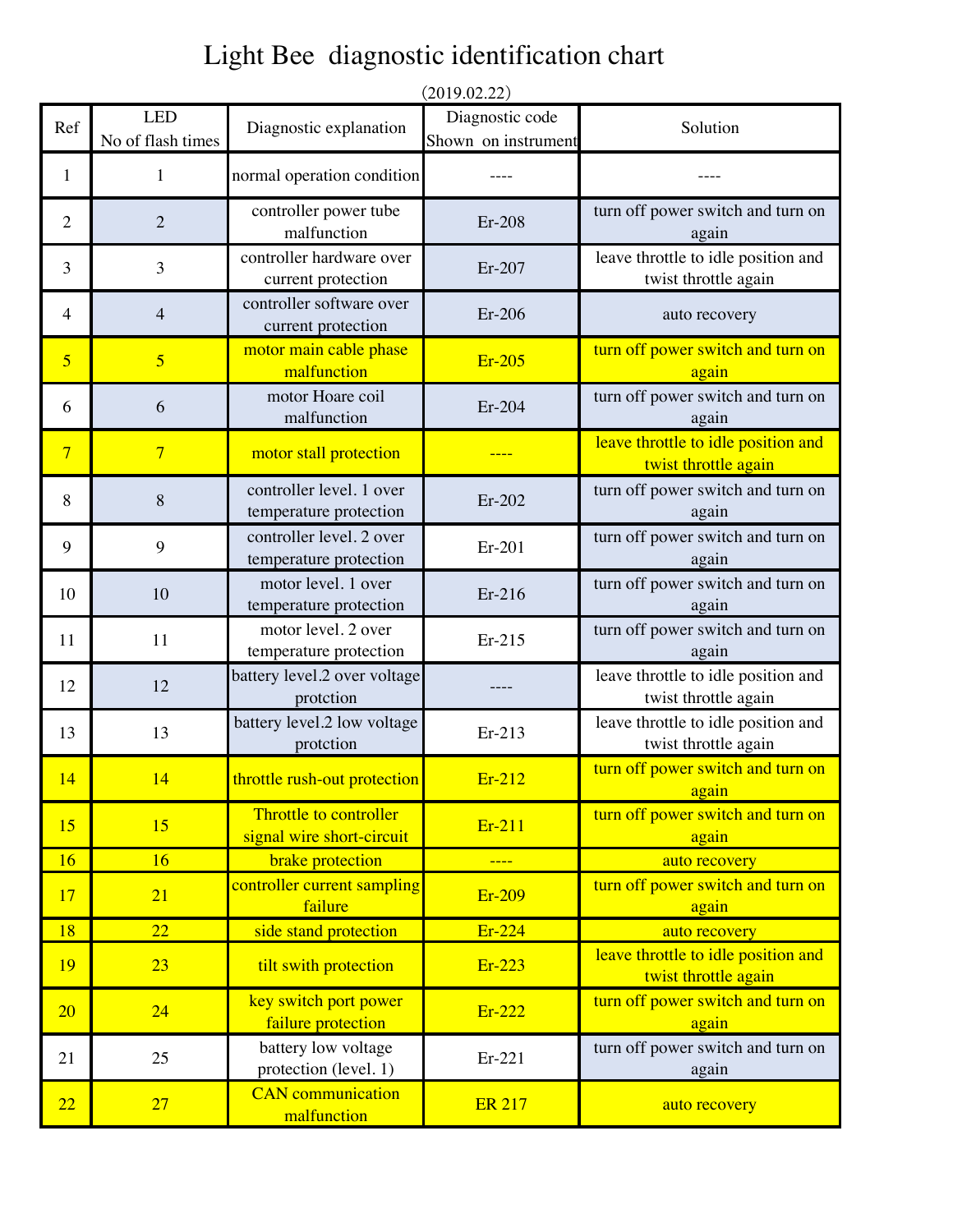## Light Bee diagnostic identification chart

|                |                                 |                                                     | (2019.02.22)                           |                                                             |
|----------------|---------------------------------|-----------------------------------------------------|----------------------------------------|-------------------------------------------------------------|
| Ref            | <b>LED</b><br>No of flash times | Diagnostic explanation                              | Diagnostic code<br>Shown on instrument | Solution                                                    |
| 1              | 1                               | normal operation condition                          |                                        |                                                             |
| $\overline{2}$ | $\overline{2}$                  | controller power tube<br>malfunction                | Er-208                                 | turn off power switch and turn on<br>again                  |
| 3              | 3                               | controller hardware over<br>current protection      | Er-207                                 | leave throttle to idle position and<br>twist throttle again |
| 4              | $\overline{4}$                  | controller software over<br>current protection      | Er-206                                 | auto recovery                                               |
| 5              | $\overline{5}$                  | motor main cable phase<br>malfunction               | Er-205                                 | turn off power switch and turn on<br>again                  |
| 6              | 6                               | motor Hoare coil<br>malfunction                     | Er-204                                 | turn off power switch and turn on<br>again                  |
| $\overline{7}$ | $\overline{7}$                  | motor stall protection                              |                                        | leave throttle to idle position and<br>twist throttle again |
| 8              | 8                               | controller level. 1 over<br>temperature protection  | $Er-202$                               | turn off power switch and turn on<br>again                  |
| 9              | 9                               | controller level. 2 over<br>temperature protection  | Er-201                                 | turn off power switch and turn on<br>again                  |
| 10             | 10                              | motor level. 1 over<br>temperature protection       | Er-216                                 | turn off power switch and turn on<br>again                  |
| 11             | 11                              | motor level. 2 over<br>temperature protection       | Er-215                                 | turn off power switch and turn on<br>again                  |
| 12             | 12                              | battery level.2 over voltage<br>protction           |                                        | leave throttle to idle position and<br>twist throttle again |
| 13             | 13                              | battery level.2 low voltage<br>protction            | Er-213                                 | leave throttle to idle position and<br>twist throttle again |
| 14             | 14                              | throttle rush-out protection                        | Er-212                                 | turn off power switch and turn on<br>again                  |
| 15             | 15                              | Throttle to controller<br>signal wire short-circuit | Er-211                                 | turn off power switch and turn on<br>again                  |
| 16             | 16                              | brake protection                                    |                                        | auto recovery                                               |
| 17             | 21                              | controller current sampling<br>failure              | Er-209                                 | turn off power switch and turn on<br>again                  |
| 18             | $\overline{22}$                 | side stand protection                               | Er-224                                 | auto recovery                                               |
| 19             | 23                              | tilt swith protection                               | Er-223                                 | leave throttle to idle position and<br>twist throttle again |
| 20             | 24                              | key switch port power<br>failure protection         | Er-222                                 | turn off power switch and turn on<br>again                  |
| 21             | 25                              | battery low voltage<br>protection (level. 1)        | Er-221                                 | turn off power switch and turn on<br>again                  |
| 22             | 27                              | <b>CAN</b> communication<br>malfunction             | <b>ER 217</b>                          | auto recovery                                               |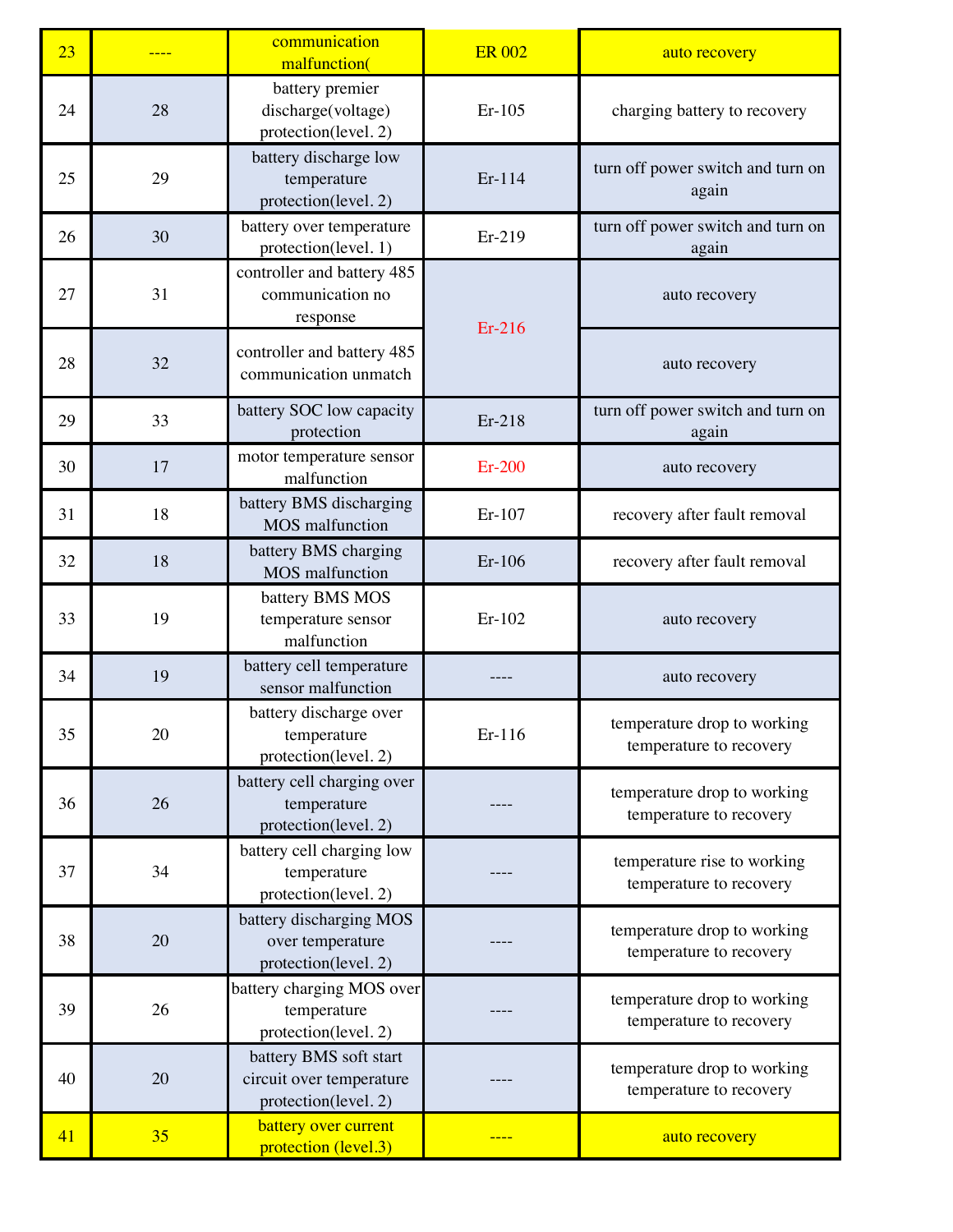| 23 |    | communication<br>malfunction(                                              | <b>ER 002</b> | auto recovery                                          |
|----|----|----------------------------------------------------------------------------|---------------|--------------------------------------------------------|
| 24 | 28 | battery premier<br>discharge(voltage)<br>protection(level. 2)              | Er-105        | charging battery to recovery                           |
| 25 | 29 | battery discharge low<br>temperature<br>protection(level. 2)               | Er-114        | turn off power switch and turn on<br>again             |
| 26 | 30 | battery over temperature<br>protection(level. 1)                           | Er-219        | turn off power switch and turn on<br>again             |
| 27 | 31 | controller and battery 485<br>communication no<br>response                 | Er-216        | auto recovery                                          |
| 28 | 32 | controller and battery 485<br>communication unmatch                        |               | auto recovery                                          |
| 29 | 33 | battery SOC low capacity<br>protection                                     | Er-218        | turn off power switch and turn on<br>again             |
| 30 | 17 | motor temperature sensor<br>malfunction                                    | $Er-200$      | auto recovery                                          |
| 31 | 18 | battery BMS discharging<br>MOS malfunction                                 | Er-107        | recovery after fault removal                           |
| 32 | 18 | battery BMS charging<br><b>MOS</b> malfunction                             | Er-106        | recovery after fault removal                           |
| 33 | 19 | battery BMS MOS<br>temperature sensor<br>malfunction                       | Er-102        | auto recovery                                          |
| 34 | 19 | battery cell temperature<br>sensor malfunction                             |               | auto recovery                                          |
| 35 | 20 | battery discharge over<br>temperature<br>protection(level. 2)              | Er-116        | temperature drop to working<br>temperature to recovery |
| 36 | 26 | battery cell charging over<br>temperature<br>protection(level. 2)          |               | temperature drop to working<br>temperature to recovery |
| 37 | 34 | battery cell charging low<br>temperature<br>protection(level. 2)           |               | temperature rise to working<br>temperature to recovery |
| 38 | 20 | battery discharging MOS<br>over temperature<br>protection(level. 2)        |               | temperature drop to working<br>temperature to recovery |
| 39 | 26 | battery charging MOS over<br>temperature<br>protection(level. 2)           |               | temperature drop to working<br>temperature to recovery |
| 40 | 20 | battery BMS soft start<br>circuit over temperature<br>protection(level. 2) |               | temperature drop to working<br>temperature to recovery |
| 41 | 35 | battery over current<br>protection (level.3)                               |               | auto recovery                                          |